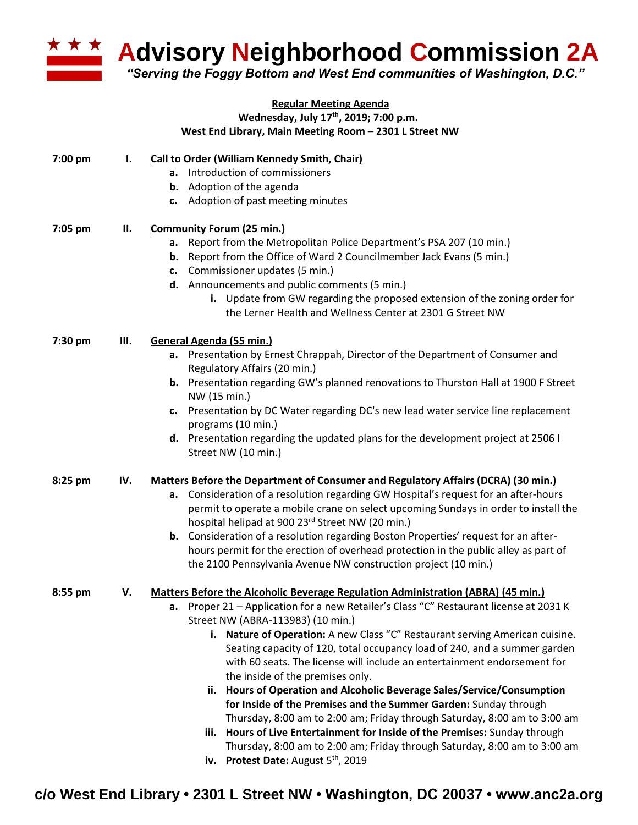

**Advisory Neighborhood Commission 2A** 

*"Serving the Foggy Bottom and West End communities of Washington, D.C."*

## **Regular Meeting Agenda Wednesday, July 17th , 2019; 7:00 p.m.**

**West End Library, Main Meeting Room – 2301 L Street NW**

| 7:00 pm | I.  | <b>Call to Order (William Kennedy Smith, Chair)</b><br>a. Introduction of commissioners<br><b>b.</b> Adoption of the agenda<br>c. Adoption of past meeting minutes                                                                                                                                                                                                                                                                                                                                                                                                                                                                                                                                                                                                                                                                                                                                                                               |
|---------|-----|--------------------------------------------------------------------------------------------------------------------------------------------------------------------------------------------------------------------------------------------------------------------------------------------------------------------------------------------------------------------------------------------------------------------------------------------------------------------------------------------------------------------------------------------------------------------------------------------------------------------------------------------------------------------------------------------------------------------------------------------------------------------------------------------------------------------------------------------------------------------------------------------------------------------------------------------------|
| 7:05 pm | П.  | <b>Community Forum (25 min.)</b><br>Report from the Metropolitan Police Department's PSA 207 (10 min.)<br>а.<br><b>b.</b> Report from the Office of Ward 2 Councilmember Jack Evans (5 min.)<br>c. Commissioner updates (5 min.)<br>d. Announcements and public comments (5 min.)<br>i. Update from GW regarding the proposed extension of the zoning order for<br>the Lerner Health and Wellness Center at 2301 G Street NW                                                                                                                                                                                                                                                                                                                                                                                                                                                                                                                     |
| 7:30 pm | Ш.  | General Agenda (55 min.)<br>a. Presentation by Ernest Chrappah, Director of the Department of Consumer and<br>Regulatory Affairs (20 min.)<br><b>b.</b> Presentation regarding GW's planned renovations to Thurston Hall at 1900 F Street<br>NW (15 min.)<br>Presentation by DC Water regarding DC's new lead water service line replacement<br>c.<br>programs (10 min.)<br>d. Presentation regarding the updated plans for the development project at 2506 I<br>Street NW (10 min.)                                                                                                                                                                                                                                                                                                                                                                                                                                                             |
| 8:25 pm | IV. | <b>Matters Before the Department of Consumer and Regulatory Affairs (DCRA) (30 min.)</b><br>a. Consideration of a resolution regarding GW Hospital's request for an after-hours<br>permit to operate a mobile crane on select upcoming Sundays in order to install the<br>hospital helipad at 900 23rd Street NW (20 min.)<br>b. Consideration of a resolution regarding Boston Properties' request for an after-<br>hours permit for the erection of overhead protection in the public alley as part of<br>the 2100 Pennsylvania Avenue NW construction project (10 min.)                                                                                                                                                                                                                                                                                                                                                                       |
| 8:55 pm | V.  | Matters Before the Alcoholic Beverage Regulation Administration (ABRA) (45 min.)<br>Proper 21 - Application for a new Retailer's Class "C" Restaurant license at 2031 K<br>а.<br>Street NW (ABRA-113983) (10 min.)<br>i. Nature of Operation: A new Class "C" Restaurant serving American cuisine.<br>Seating capacity of 120, total occupancy load of 240, and a summer garden<br>with 60 seats. The license will include an entertainment endorsement for<br>the inside of the premises only.<br>ii. Hours of Operation and Alcoholic Beverage Sales/Service/Consumption<br>for Inside of the Premises and the Summer Garden: Sunday through<br>Thursday, 8:00 am to 2:00 am; Friday through Saturday, 8:00 am to 3:00 am<br>Hours of Live Entertainment for Inside of the Premises: Sunday through<br>iii.<br>Thursday, 8:00 am to 2:00 am; Friday through Saturday, 8:00 am to 3:00 am<br>Protest Date: August 5 <sup>th</sup> , 2019<br>iv. |

**c/o West End Library • 2301 L Street NW • Washington, DC 20037 • www.anc2a.org**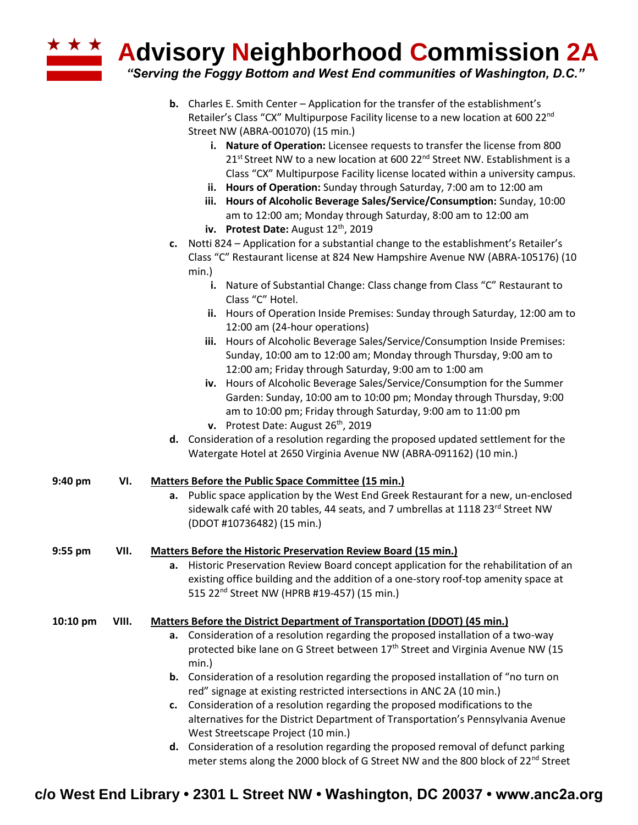**Advisory Neighborhood Commission 2A**

*"Serving the Foggy Bottom and West End communities of Washington, D.C."*

- **b.** Charles E. Smith Center Application for the transfer of the establishment's Retailer's Class "CX" Multipurpose Facility license to a new location at 600 22<sup>nd</sup> Street NW (ABRA-001070) (15 min.)
	- **i. Nature of Operation:** Licensee requests to transfer the license from 800 21<sup>st</sup> Street NW to a new location at 600 22<sup>nd</sup> Street NW. Establishment is a Class "CX" Multipurpose Facility license located within a university campus.
	- **ii. Hours of Operation:** Sunday through Saturday, 7:00 am to 12:00 am
	- **iii. Hours of Alcoholic Beverage Sales/Service/Consumption:** Sunday, 10:00 am to 12:00 am; Monday through Saturday, 8:00 am to 12:00 am
	- **iv.** Protest Date: August 12<sup>th</sup>, 2019
- **c.** Notti 824 Application for a substantial change to the establishment's Retailer's Class "C" Restaurant license at 824 New Hampshire Avenue NW (ABRA-105176) (10 min.)
	- **i.** Nature of Substantial Change: Class change from Class "C" Restaurant to Class "C" Hotel.
	- **ii.** Hours of Operation Inside Premises: Sunday through Saturday, 12:00 am to 12:00 am (24-hour operations)
	- **iii.** Hours of Alcoholic Beverage Sales/Service/Consumption Inside Premises: Sunday, 10:00 am to 12:00 am; Monday through Thursday, 9:00 am to 12:00 am; Friday through Saturday, 9:00 am to 1:00 am
	- **iv.** Hours of Alcoholic Beverage Sales/Service/Consumption for the Summer Garden: Sunday, 10:00 am to 10:00 pm; Monday through Thursday, 9:00 am to 10:00 pm; Friday through Saturday, 9:00 am to 11:00 pm
	- **v.** Protest Date: August 26<sup>th</sup>, 2019
- **d.** Consideration of a resolution regarding the proposed updated settlement for the Watergate Hotel at 2650 Virginia Avenue NW (ABRA-091162) (10 min.)

| 9:40 pm    | VI.   | Matters Before the Public Space Committee (15 min.)<br>a. Public space application by the West End Greek Restaurant for a new, un-enclosed<br>sidewalk café with 20 tables, 44 seats, and 7 umbrellas at 1118 23rd Street NW<br>(DDOT #10736482) (15 min.)                                                                                                                                                                                                                                                                                                                                                                                                                                                                                          |
|------------|-------|-----------------------------------------------------------------------------------------------------------------------------------------------------------------------------------------------------------------------------------------------------------------------------------------------------------------------------------------------------------------------------------------------------------------------------------------------------------------------------------------------------------------------------------------------------------------------------------------------------------------------------------------------------------------------------------------------------------------------------------------------------|
| $9:55$ pm  | VII.  | Matters Before the Historic Preservation Review Board (15 min.)<br>a. Historic Preservation Review Board concept application for the rehabilitation of an<br>existing office building and the addition of a one-story roof-top amenity space at<br>515 22 <sup>nd</sup> Street NW (HPRB #19-457) (15 min.)                                                                                                                                                                                                                                                                                                                                                                                                                                          |
| $10:10$ pm | VIII. | Matters Before the District Department of Transportation (DDOT) (45 min.)<br><b>a.</b> Consideration of a resolution regarding the proposed installation of a two-way<br>protected bike lane on G Street between 17 <sup>th</sup> Street and Virginia Avenue NW (15<br>min.)<br><b>b.</b> Consideration of a resolution regarding the proposed installation of "no turn on<br>red" signage at existing restricted intersections in ANC 2A (10 min.)<br>c. Consideration of a resolution regarding the proposed modifications to the<br>alternatives for the District Department of Transportation's Pennsylvania Avenue<br>West Streetscape Project (10 min.)<br>d. Consideration of a resolution regarding the proposed removal of defunct parking |

**c/o West End Library • 2301 L Street NW • Washington, DC 20037 • www.anc2a.org**

meter stems along the 2000 block of G Street NW and the 800 block of 22<sup>nd</sup> Street